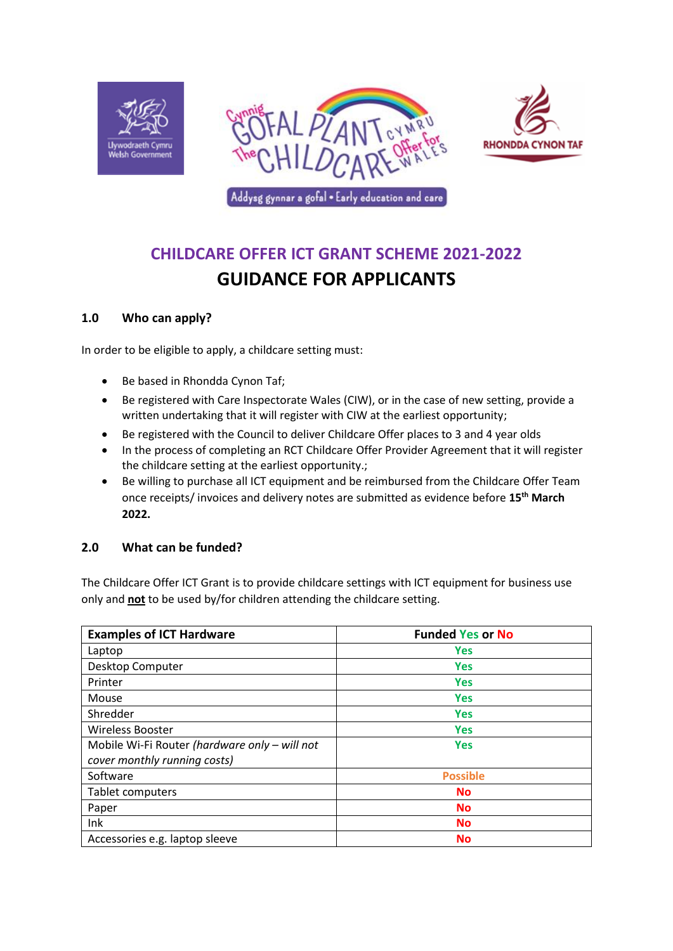





# **CHILDCARE OFFER ICT GRANT SCHEME 2021-2022 GUIDANCE FOR APPLICANTS**

## **1.0 Who can apply?**

In order to be eligible to apply, a childcare setting must:

- Be based in Rhondda Cynon Taf;
- Be registered with Care Inspectorate Wales (CIW), or in the case of new setting, provide a written undertaking that it will register with CIW at the earliest opportunity;
- Be registered with the Council to deliver Childcare Offer places to 3 and 4 year olds
- In the process of completing an RCT Childcare Offer Provider Agreement that it will register the childcare setting at the earliest opportunity.;
- Be willing to purchase all ICT equipment and be reimbursed from the Childcare Offer Team once receipts/ invoices and delivery notes are submitted as evidence before **15th March 2022.**

#### **2.0 What can be funded?**

The Childcare Offer ICT Grant is to provide childcare settings with ICT equipment for business use only and **not** to be used by/for children attending the childcare setting.

| <b>Examples of ICT Hardware</b>               | <b>Funded Yes or No</b> |
|-----------------------------------------------|-------------------------|
| Laptop                                        | <b>Yes</b>              |
| Desktop Computer                              | <b>Yes</b>              |
| Printer                                       | <b>Yes</b>              |
| Mouse                                         | <b>Yes</b>              |
| Shredder                                      | <b>Yes</b>              |
| <b>Wireless Booster</b>                       | <b>Yes</b>              |
| Mobile Wi-Fi Router (hardware only - will not | <b>Yes</b>              |
| cover monthly running costs)                  |                         |
| Software                                      | <b>Possible</b>         |
| Tablet computers                              | No                      |
| Paper                                         | <b>No</b>               |
| Ink                                           | No                      |
| Accessories e.g. laptop sleeve                | <b>No</b>               |